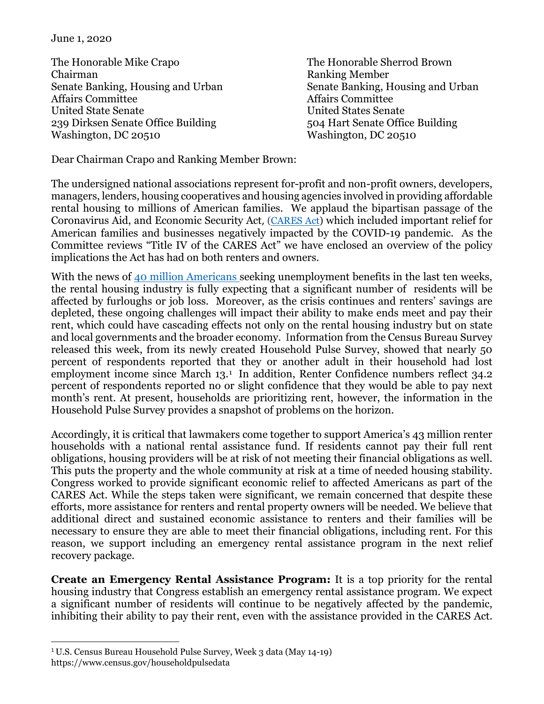June 1, 2020

The Honorable Mike Crapo The Honorable Sherrod Brown Chairman Ranking Member Affairs Committee United State Senate United States Senate 239 Dirksen Senate Office Building 504 Hart Senate Office Building Washington, DC 20510 Washington, DC 20510

Senate Banking, Housing and Urban Senate Banking, Housing and Urban Affairs Committee

Dear Chairman Crapo and Ranking Member Brown:

The undersigned national associations represent for-profit and non-profit owners, developers, managers, lenders, housing cooperatives and housing agencies involved in providing affordable rental housing to millions of American families. We applaud the bipartisan passage of the Coronavirus Aid, and Economic Security Act, (CARES Act) which included important relief for American families and businesses negatively impacted by the COVID-19 pandemic. As the Committee reviews "Title IV of the CARES Act" we have enclosed an overview of the policy implications the Act has had on both renters and owners.

With the news of [40 million Americans s](https://www.washingtonpost.com/business/2020/05/28/unemployment-claims-coronavirus/)eeking unemployment benefits in the last ten weeks, the rental housing industry is fully expecting that a significant number of residents will be affected by furloughs or job loss. Moreover, as the crisis continues and renters' savings are depleted, these ongoing challenges will impact their ability to make ends meet and pay their rent, which could have cascading effects not only on the rental housing industry but on state and local governments and the broader economy. Information from the Census Bureau Survey released this week, from its newly created Household Pulse Survey, showed that nearly 50 percent of respondents reported that they or another adult in their household had lost employment income since March [1](#page-0-0)3.<sup>1</sup> In addition, Renter Confidence numbers reflect 34.2 percent of respondents reported no or slight confidence that they would be able to pay next month's rent. At present, households are prioritizing rent, however, the information in the Household Pulse Survey provides a snapshot of problems on the horizon.

Accordingly, it is critical that lawmakers come together to support America's 43 million renter households with a national rental assistance fund. If residents cannot pay their full rent obligations, housing providers will be at risk of not meeting their financial obligations as well. This puts the property and the whole community at risk at a time of needed housing stability. Congress worked to provide significant economic relief to affected Americans as part of the CARES Act. While the steps taken were significant, we remain concerned that despite these efforts, more assistance for renters and rental property owners will be needed. We believe that additional direct and sustained economic assistance to renters and their families will be necessary to ensure they are able to meet their financial obligations, including rent. For this reason, we support including an emergency rental assistance program in the next relief recovery package.

**Create an Emergency Rental Assistance Program:** It is a top priority for the rental housing industry that Congress establish an emergency rental assistance program. We expect a significant number of residents will continue to be negatively affected by the pandemic, inhibiting their ability to pay their rent, even with the assistance provided in the CARES Act.

<span id="page-0-0"></span><sup>1</sup> U.S. Census Bureau Household Pulse Survey, Week 3 data (May 14-19)

https://www.census.gov/householdpulsedata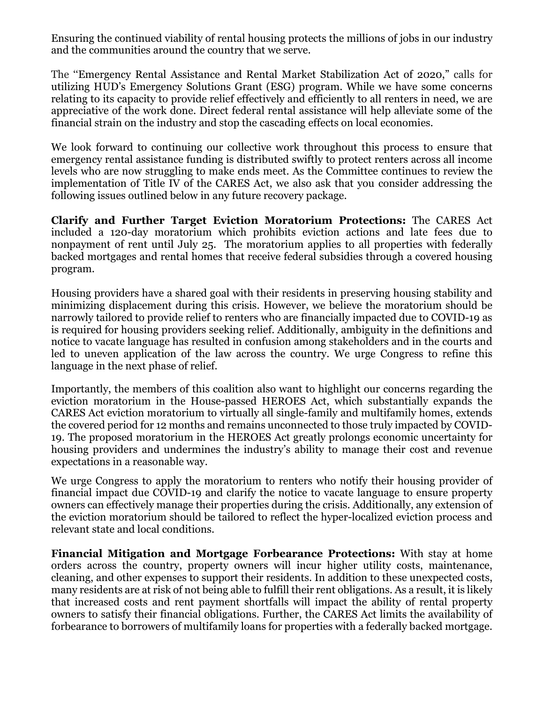Ensuring the continued viability of rental housing protects the millions of jobs in our industry and the communities around the country that we serve.

The ''Emergency Rental Assistance and Rental Market Stabilization Act of 2020," calls for utilizing HUD's Emergency Solutions Grant (ESG) program. While we have some concerns relating to its capacity to provide relief effectively and efficiently to all renters in need, we are appreciative of the work done. Direct federal rental assistance will help alleviate some of the financial strain on the industry and stop the cascading effects on local economies.

We look forward to continuing our collective work throughout this process to ensure that emergency rental assistance funding is distributed swiftly to protect renters across all income levels who are now struggling to make ends meet. As the Committee continues to review the implementation of Title IV of the CARES Act, we also ask that you consider addressing the following issues outlined below in any future recovery package.

**Clarify and Further Target Eviction Moratorium Protections:** The CARES Act included a 120-day moratorium which prohibits eviction actions and late fees due to nonpayment of rent until July 25. The moratorium applies to all properties with federally backed mortgages and rental homes that receive federal subsidies through a covered housing program.

Housing providers have a shared goal with their residents in preserving housing stability and minimizing displacement during this crisis. However, we believe the moratorium should be narrowly tailored to provide relief to renters who are financially impacted due to COVID-19 as is required for housing providers seeking relief. Additionally, ambiguity in the definitions and notice to vacate language has resulted in confusion among stakeholders and in the courts and led to uneven application of the law across the country. We urge Congress to refine this language in the next phase of relief.

Importantly, the members of this coalition also want to highlight our concerns regarding the eviction moratorium in the House-passed HEROES Act, which substantially expands the CARES Act eviction moratorium to virtually all single-family and multifamily homes, extends the covered period for 12 months and remains unconnected to those truly impacted by COVID-19. The proposed moratorium in the HEROES Act greatly prolongs economic uncertainty for housing providers and undermines the industry's ability to manage their cost and revenue expectations in a reasonable way.

We urge Congress to apply the moratorium to renters who notify their housing provider of financial impact due COVID-19 and clarify the notice to vacate language to ensure property owners can effectively manage their properties during the crisis. Additionally, any extension of the eviction moratorium should be tailored to reflect the hyper-localized eviction process and relevant state and local conditions.

**Financial Mitigation and Mortgage Forbearance Protections:** With stay at home orders across the country, property owners will incur higher utility costs, maintenance, cleaning, and other expenses to support their residents. In addition to these unexpected costs, many residents are at risk of not being able to fulfill their rent obligations. As a result, it is likely that increased costs and rent payment shortfalls will impact the ability of rental property owners to satisfy their financial obligations. Further, the CARES Act limits the availability of forbearance to borrowers of multifamily loans for properties with a federally backed mortgage.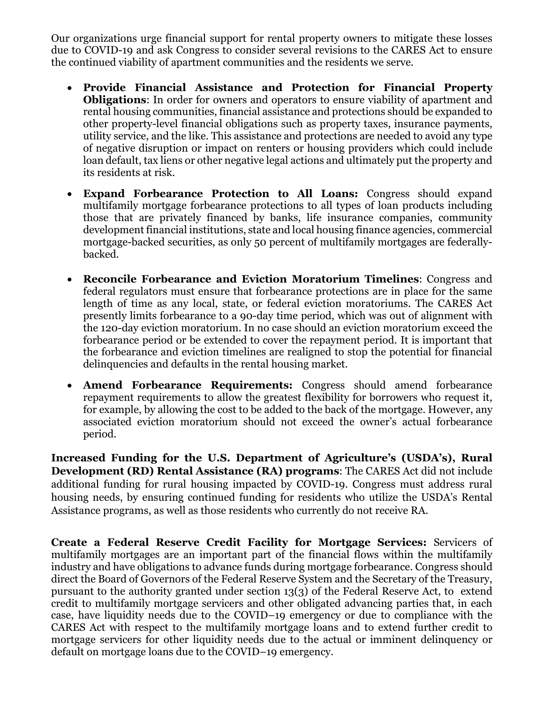Our organizations urge financial support for rental property owners to mitigate these losses due to COVID-19 and ask Congress to consider several revisions to the CARES Act to ensure the continued viability of apartment communities and the residents we serve.

- **Provide Financial Assistance and Protection for Financial Property Obligations**: In order for owners and operators to ensure viability of apartment and rental housing communities, financial assistance and protections should be expanded to other property-level financial obligations such as property taxes, insurance payments, utility service, and the like. This assistance and protections are needed to avoid any type of negative disruption or impact on renters or housing providers which could include loan default, tax liens or other negative legal actions and ultimately put the property and its residents at risk.
- **Expand Forbearance Protection to All Loans:** Congress should expand multifamily mortgage forbearance protections to all types of loan products including those that are privately financed by banks, life insurance companies, community development financial institutions, state and local housing finance agencies, commercial mortgage-backed securities, as only 50 percent of multifamily mortgages are federallybacked.
- **Reconcile Forbearance and Eviction Moratorium Timelines**: Congress and federal regulators must ensure that forbearance protections are in place for the same length of time as any local, state, or federal eviction moratoriums. The CARES Act presently limits forbearance to a 90-day time period, which was out of alignment with the 120-day eviction moratorium. In no case should an eviction moratorium exceed the forbearance period or be extended to cover the repayment period. It is important that the forbearance and eviction timelines are realigned to stop the potential for financial delinquencies and defaults in the rental housing market.
- **Amend Forbearance Requirements:** Congress should amend forbearance repayment requirements to allow the greatest flexibility for borrowers who request it, for example, by allowing the cost to be added to the back of the mortgage. However, any associated eviction moratorium should not exceed the owner's actual forbearance period.

**Increased Funding for the U.S. Department of Agriculture's (USDA's), Rural Development (RD) Rental Assistance (RA) programs**: The CARES Act did not include additional funding for rural housing impacted by COVID-19. Congress must address rural housing needs, by ensuring continued funding for residents who utilize the USDA's Rental Assistance programs, as well as those residents who currently do not receive RA.

**Create a Federal Reserve Credit Facility for Mortgage Services:** Servicers of multifamily mortgages are an important part of the financial flows within the multifamily industry and have obligations to advance funds during mortgage forbearance. Congress should direct the Board of Governors of the Federal Reserve System and the Secretary of the Treasury, pursuant to the authority granted under section 13(3) of the Federal Reserve Act, to extend credit to multifamily mortgage servicers and other obligated advancing parties that, in each case, have liquidity needs due to the COVID–19 emergency or due to compliance with the CARES Act with respect to the multifamily mortgage loans and to extend further credit to mortgage servicers for other liquidity needs due to the actual or imminent delinquency or default on mortgage loans due to the COVID–19 emergency.